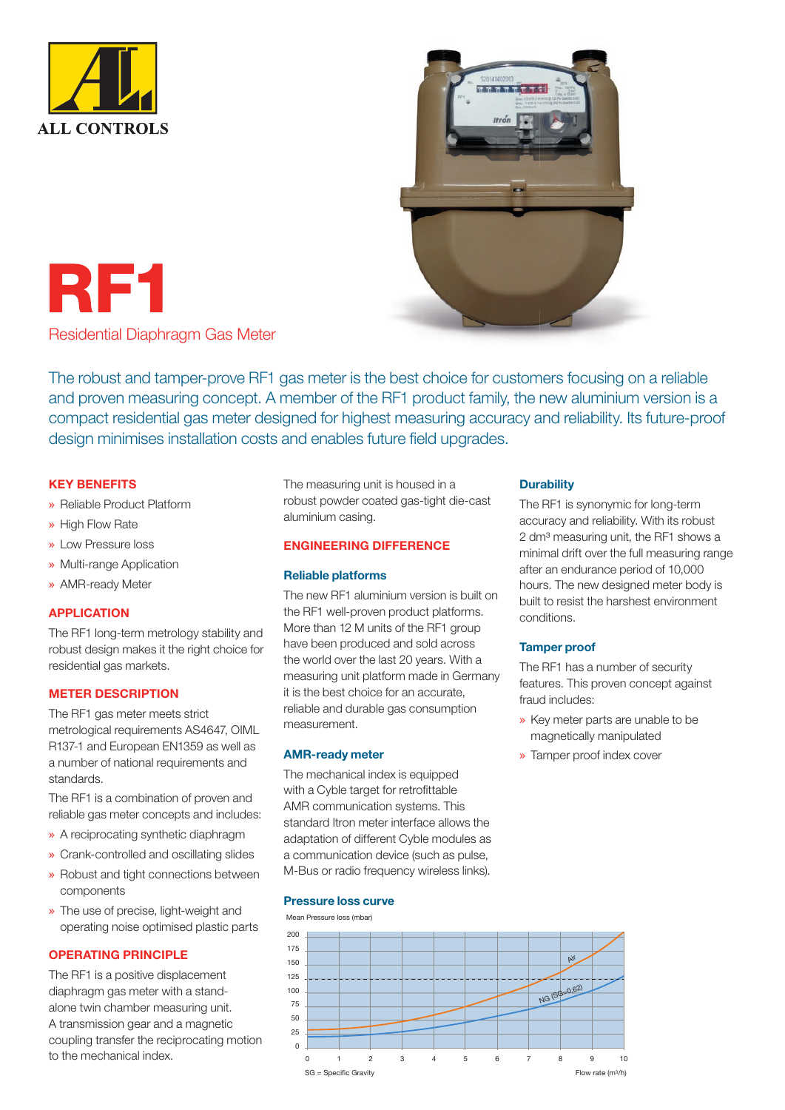



RF1

Residential Diaphragm Gas Meter

The robust and tamper-prove RF1 gas meter is the best choice for customers focusing on a reliable and proven measuring concept. A member of the RF1 product family, the new aluminium version is a compact residential gas meter designed for highest measuring accuracy and reliability. Its future-proof design minimises installation costs and enables future field upgrades.

### KEY BENEFITS

- » Reliable Product Platform
- » High Flow Rate
- » Low Pressure loss
- » Multi-range Application
- » AMR-ready Meter

### APPLICATION

The RF1 long-term metrology stability and robust design makes it the right choice for residential gas markets.

### METER DESCRIPTION

The RF1 gas meter meets strict metrological requirements AS4647, OIML R137-1 and European EN1359 as well as a number of national requirements and standards.

The RF1 is a combination of proven and reliable gas meter concepts and includes:

- » A reciprocating synthetic diaphragm
- » Crank-controlled and oscillating slides
- » Robust and tight connections between components
- » The use of precise, light-weight and operating noise optimised plastic parts

### OPERATING PRINCIPLE

The RF1 is a positive displacement diaphragm gas meter with a standalone twin chamber measuring unit. A transmission gear and a magnetic coupling transfer the reciprocating motion to the mechanical index.

The measuring unit is housed in a robust powder coated gas-tight die-cast aluminium casing.

### ENGINEERING DIFFERENCE

### Reliable platforms

The new RF1 aluminium version is built on the RF1 well-proven product platforms. More than 12 M units of the RF1 group have been produced and sold across the world over the last 20 years. With a measuring unit platform made in Germany it is the best choice for an accurate, reliable and durable gas consumption measurement.

### AMR-ready meter

The mechanical index is equipped with a Cyble target for retrofittable AMR communication systems. This standard Itron meter interface allows the adaptation of different Cyble modules as a communication device (such as pulse, M-Bus or radio frequency wireless links).

### Pressure loss curve





### **Durability**

The RF1 is synonymic for long-term accuracy and reliability. With its robust 2 dm<sup>3</sup> measuring unit, the RF1 shows a minimal drift over the full measuring range after an endurance period of 10,000 hours. The new designed meter body is built to resist the harshest environment conditions.

### Tamper proof

The RF1 has a number of security features. This proven concept against fraud includes:

- » Key meter parts are unable to be magnetically manipulated
- » Tamper proof index cover